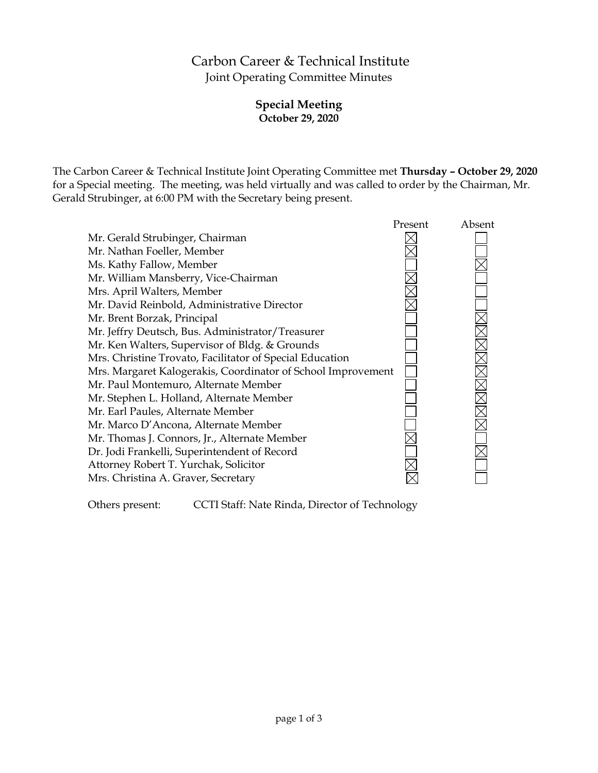# Carbon Career & Technical Institute Joint Operating Committee Minutes

## **Special Meeting October 29, 2020**

The Carbon Career & Technical Institute Joint Operating Committee met **Thursday – October 29, 2020** for a Special meeting. The meeting, was held virtually and was called to order by the Chairman, Mr. Gerald Strubinger, at 6:00 PM with the Secretary being present.



Others present: CCTI Staff: Nate Rinda, Director of Technology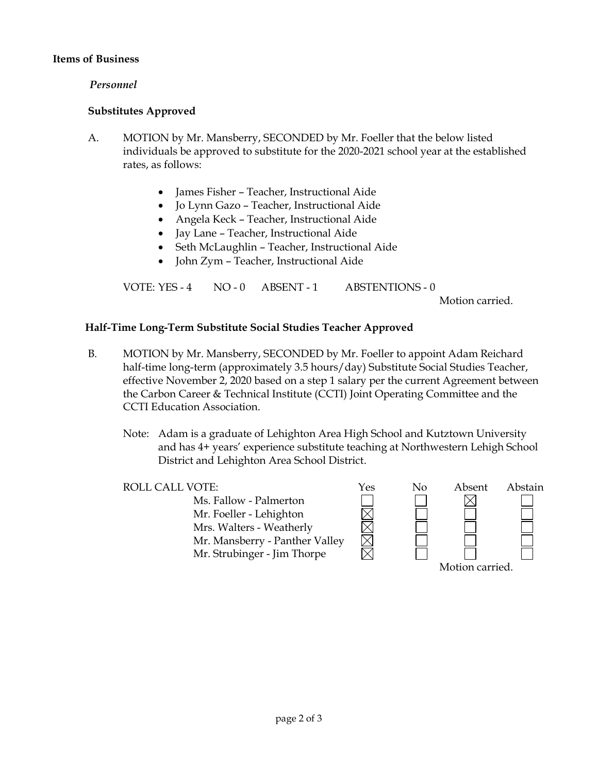#### **Items of Business**

#### *Personnel*

#### **Substitutes Approved**

- A. MOTION by Mr. Mansberry, SECONDED by Mr. Foeller that the below listed individuals be approved to substitute for the 2020-2021 school year at the established rates, as follows:
	- James Fisher Teacher, Instructional Aide
	- Jo Lynn Gazo Teacher, Instructional Aide
	- Angela Keck Teacher, Instructional Aide
	- Jay Lane Teacher, Instructional Aide
	- Seth McLaughlin Teacher, Instructional Aide
	- John Zym Teacher, Instructional Aide

VOTE: YES - 4 NO - 0 ABSENT - 1 ABSTENTIONS - 0

Motion carried.

#### **Half-Time Long-Term Substitute Social Studies Teacher Approved**

- B. MOTION by Mr. Mansberry, SECONDED by Mr. Foeller to appoint Adam Reichard half-time long-term (approximately 3.5 hours/day) Substitute Social Studies Teacher, effective November 2, 2020 based on a step 1 salary per the current Agreement between the Carbon Career & Technical Institute (CCTI) Joint Operating Committee and the CCTI Education Association.
	- Note: Adam is a graduate of Lehighton Area High School and Kutztown University and has 4+ years' experience substitute teaching at Northwestern Lehigh School District and Lehighton Area School District.
	- ROLL CALL VOTE:  $Y$ es No Absent Abstain Ms. Fallow - Palmerton Mr. Foeller - Lehighton Mrs. Walters - Weatherly Mr. Mansberry - Panther Valley Mr. Strubinger - Jim Thorpe